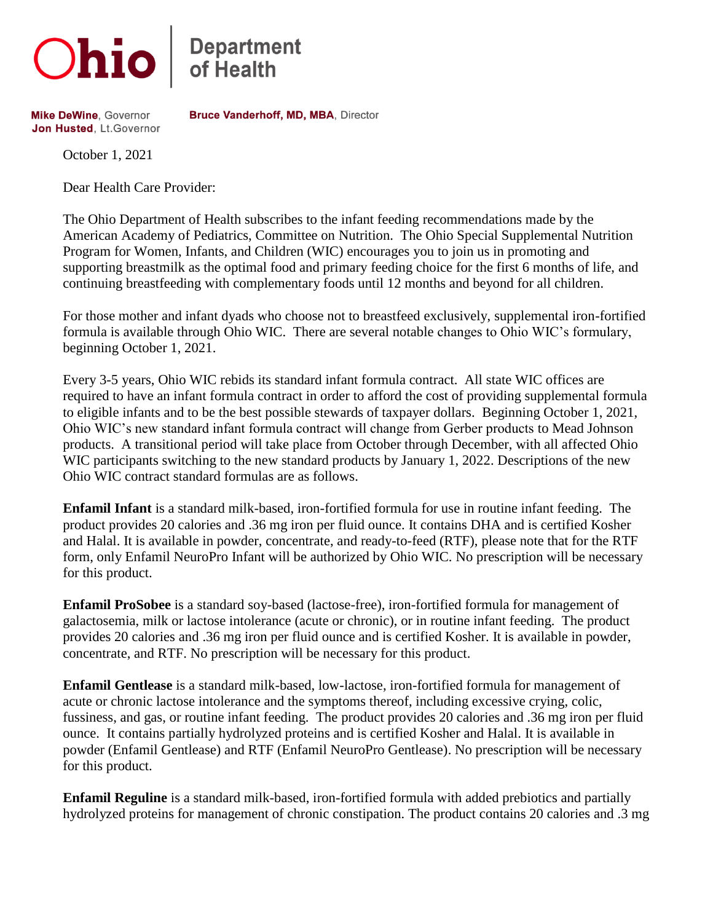

**Department**<br>of Health

**Mike DeWine, Governor** Jon Husted, Lt. Governor Bruce Vanderhoff, MD, MBA, Director

October 1, 2021

Dear Health Care Provider:

The Ohio Department of Health subscribes to the infant feeding recommendations made by the American Academy of Pediatrics, Committee on Nutrition. The Ohio Special Supplemental Nutrition Program for Women, Infants, and Children (WIC) encourages you to join us in promoting and supporting breastmilk as the optimal food and primary feeding choice for the first 6 months of life, and continuing breastfeeding with complementary foods until 12 months and beyond for all children.

For those mother and infant dyads who choose not to breastfeed exclusively, supplemental iron-fortified formula is available through Ohio WIC. There are several notable changes to Ohio WIC's formulary, beginning October 1, 2021.

Every 3-5 years, Ohio WIC rebids its standard infant formula contract. All state WIC offices are required to have an infant formula contract in order to afford the cost of providing supplemental formula to eligible infants and to be the best possible stewards of taxpayer dollars. Beginning October 1, 2021, Ohio WIC's new standard infant formula contract will change from Gerber products to Mead Johnson products. A transitional period will take place from October through December, with all affected Ohio WIC participants switching to the new standard products by January 1, 2022. Descriptions of the new Ohio WIC contract standard formulas are as follows.

**Enfamil Infant** is a standard milk-based, iron-fortified formula for use in routine infant feeding. The product provides 20 calories and .36 mg iron per fluid ounce. It contains DHA and is certified Kosher and Halal. It is available in powder, concentrate, and ready-to-feed (RTF), please note that for the RTF form, only Enfamil NeuroPro Infant will be authorized by Ohio WIC. No prescription will be necessary for this product.

**Enfamil ProSobee** is a standard soy-based (lactose-free), iron-fortified formula for management of galactosemia, milk or lactose intolerance (acute or chronic), or in routine infant feeding. The product provides 20 calories and .36 mg iron per fluid ounce and is certified Kosher. It is available in powder, concentrate, and RTF. No prescription will be necessary for this product.

**Enfamil Gentlease** is a standard milk-based, low-lactose, iron-fortified formula for management of acute or chronic lactose intolerance and the symptoms thereof, including excessive crying, colic, fussiness, and gas, or routine infant feeding. The product provides 20 calories and .36 mg iron per fluid ounce. It contains partially hydrolyzed proteins and is certified Kosher and Halal. It is available in powder (Enfamil Gentlease) and RTF (Enfamil NeuroPro Gentlease). No prescription will be necessary for this product.

**Enfamil Reguline** is a standard milk-based, iron-fortified formula with added prebiotics and partially hydrolyzed proteins for management of chronic constipation. The product contains 20 calories and .3 mg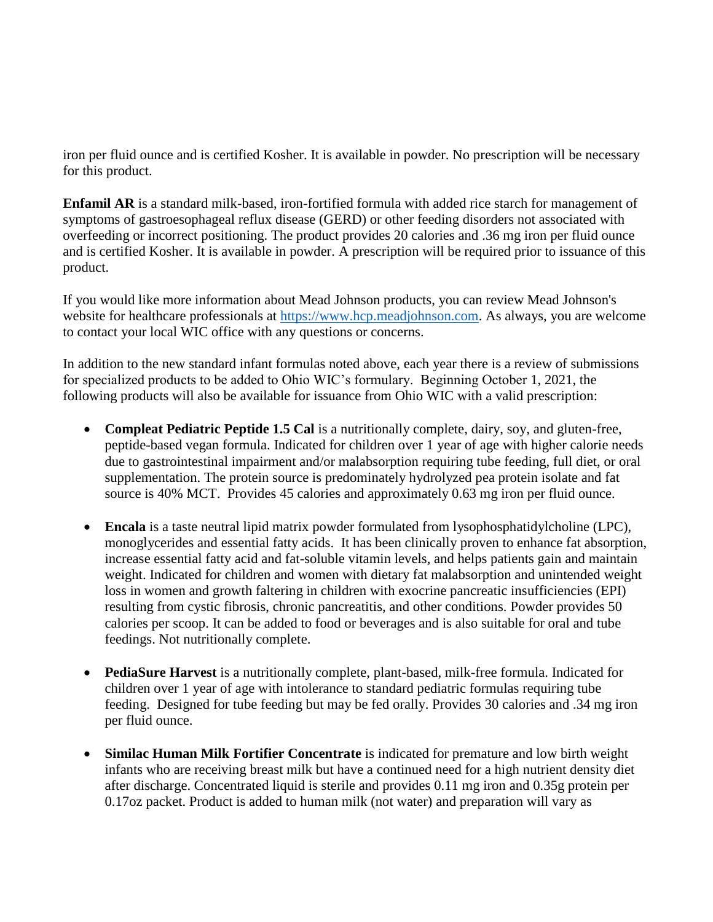iron per fluid ounce and is certified Kosher. It is available in powder. No prescription will be necessary for this product.

**Enfamil AR** is a standard milk-based, iron-fortified formula with added rice starch for management of symptoms of gastroesophageal reflux disease (GERD) or other feeding disorders not associated with overfeeding or incorrect positioning. The product provides 20 calories and .36 mg iron per fluid ounce and is certified Kosher. It is available in powder. A prescription will be required prior to issuance of this product.

If you would like more information about Mead Johnson products, you can review Mead Johnson's website for healthcare professionals at [https://www.hcp.meadjohnson.com.](https://www.hcp.meadjohnson.com/) As always, you are welcome to contact your local WIC office with any questions or concerns.

In addition to the new standard infant formulas noted above, each year there is a review of submissions for specialized products to be added to Ohio WIC's formulary. Beginning October 1, 2021, the following products will also be available for issuance from Ohio WIC with a valid prescription:

- **Compleat Pediatric Peptide 1.5 Cal** is a nutritionally complete, dairy, soy, and gluten-free, peptide-based vegan formula. Indicated for children over 1 year of age with higher calorie needs due to gastrointestinal impairment and/or malabsorption requiring tube feeding, full diet, or oral supplementation. The protein source is predominately hydrolyzed pea protein isolate and fat source is 40% MCT. Provides 45 calories and approximately 0.63 mg iron per fluid ounce.
- **Encala** is a taste neutral lipid matrix powder formulated from lysophosphatidylcholine (LPC), monoglycerides and essential fatty acids. It has been clinically proven to enhance fat absorption, increase essential fatty acid and fat-soluble vitamin levels, and helps patients gain and maintain weight. Indicated for children and women with dietary fat malabsorption and unintended weight loss in women and growth faltering in children with exocrine pancreatic insufficiencies (EPI) resulting from cystic fibrosis, chronic pancreatitis, and other conditions. Powder provides 50 calories per scoop. It can be added to food or beverages and is also suitable for oral and tube feedings. Not nutritionally complete.
- **PediaSure Harvest** is a nutritionally complete, plant-based, milk-free formula. Indicated for children over 1 year of age with intolerance to standard pediatric formulas requiring tube feeding. Designed for tube feeding but may be fed orally. Provides 30 calories and .34 mg iron per fluid ounce.
- **Similac Human Milk Fortifier Concentrate** is indicated for premature and low birth weight infants who are receiving breast milk but have a continued need for a high nutrient density diet after discharge. Concentrated liquid is sterile and provides 0.11 mg iron and 0.35g protein per 0.17oz packet. Product is added to human milk (not water) and preparation will vary as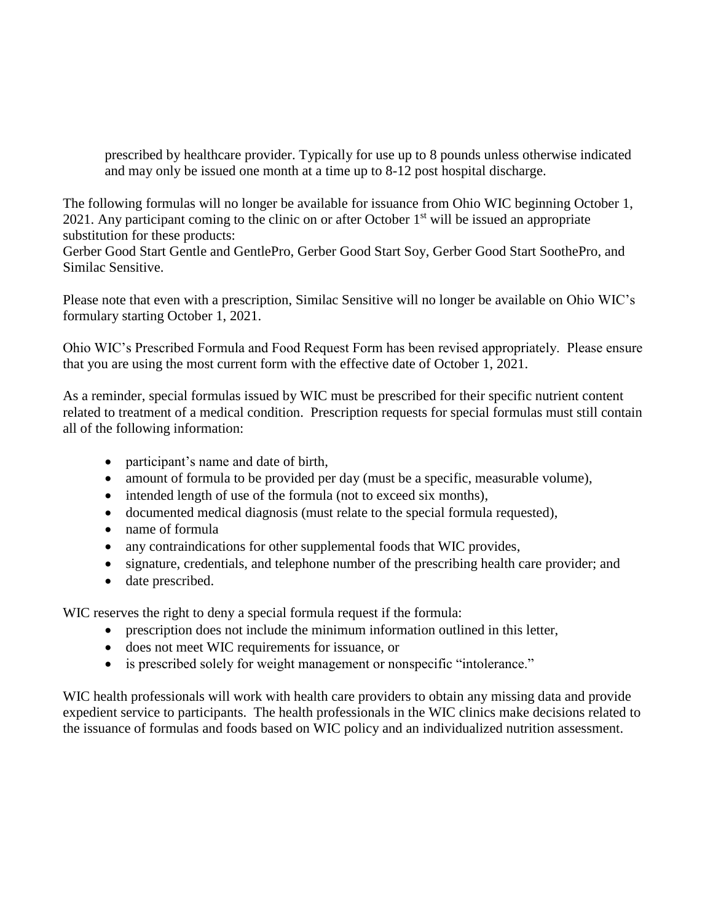prescribed by healthcare provider. Typically for use up to 8 pounds unless otherwise indicated and may only be issued one month at a time up to 8-12 post hospital discharge.

The following formulas will no longer be available for issuance from Ohio WIC beginning October 1, 2021. Any participant coming to the clinic on or after October  $1<sup>st</sup>$  will be issued an appropriate substitution for these products:

Gerber Good Start Gentle and GentlePro, Gerber Good Start Soy, Gerber Good Start SoothePro, and Similac Sensitive.

Please note that even with a prescription, Similac Sensitive will no longer be available on Ohio WIC's formulary starting October 1, 2021.

Ohio WIC's Prescribed Formula and Food Request Form has been revised appropriately. Please ensure that you are using the most current form with the effective date of October 1, 2021.

As a reminder, special formulas issued by WIC must be prescribed for their specific nutrient content related to treatment of a medical condition. Prescription requests for special formulas must still contain all of the following information:

- participant's name and date of birth,
- amount of formula to be provided per day (must be a specific, measurable volume),
- intended length of use of the formula (not to exceed six months),
- documented medical diagnosis (must relate to the special formula requested),
- name of formula
- any contraindications for other supplemental foods that WIC provides,
- signature, credentials, and telephone number of the prescribing health care provider; and
- date prescribed.

WIC reserves the right to deny a special formula request if the formula:

- prescription does not include the minimum information outlined in this letter,
- does not meet WIC requirements for issuance, or
- is prescribed solely for weight management or nonspecific "intolerance."

WIC health professionals will work with health care providers to obtain any missing data and provide expedient service to participants. The health professionals in the WIC clinics make decisions related to the issuance of formulas and foods based on WIC policy and an individualized nutrition assessment.